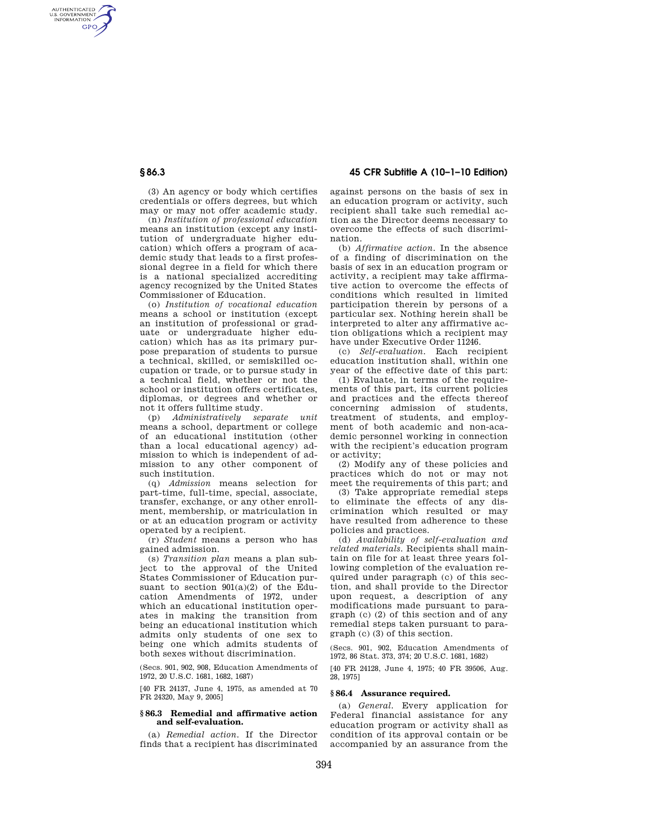AUTHENTICATED<br>U.S. GOVERNMENT<br>INFORMATION **GPO** 

> (3) An agency or body which certifies credentials or offers degrees, but which may or may not offer academic study.

> (n) *Institution of professional education*  means an institution (except any institution of undergraduate higher education) which offers a program of academic study that leads to a first professional degree in a field for which there is a national specialized accrediting agency recognized by the United States Commissioner of Education.

> (o) *Institution of vocational education*  means a school or institution (except an institution of professional or graduate or undergraduate higher education) which has as its primary purpose preparation of students to pursue a technical, skilled, or semiskilled occupation or trade, or to pursue study in a technical field, whether or not the school or institution offers certificates diplomas, or degrees and whether or not it offers fulltime study.

> (p) *Administratively separate unit*  means a school, department or college of an educational institution (other than a local educational agency) admission to which is independent of admission to any other component of such institution.

> (q) *Admission* means selection for part-time, full-time, special, associate, transfer, exchange, or any other enrollment, membership, or matriculation in or at an education program or activity operated by a recipient.

> (r) *Student* means a person who has gained admission.

(s) *Transition plan* means a plan subject to the approval of the United States Commissioner of Education pursuant to section 901(a)(2) of the Education Amendments of 1972, under which an educational institution operates in making the transition from being an educational institution which admits only students of one sex to being one which admits students of both sexes without discrimination.

(Secs. 901, 902, 908, Education Amendments of 1972, 20 U.S.C. 1681, 1682, 1687)

[40 FR 24137, June 4, 1975, as amended at 70 FR 24320, May 9, 2005]

## **§ 86.3 Remedial and affirmative action and self-evaluation.**

(a) *Remedial action.* If the Director finds that a recipient has discriminated

**§ 86.3 45 CFR Subtitle A (10–1–10 Edition)** 

against persons on the basis of sex in an education program or activity, such recipient shall take such remedial action as the Director deems necessary to overcome the effects of such discrimination.

(b) *Affirmative action.* In the absence of a finding of discrimination on the basis of sex in an education program or activity, a recipient may take affirmative action to overcome the effects of conditions which resulted in limited participation therein by persons of a particular sex. Nothing herein shall be interpreted to alter any affirmative action obligations which a recipient may have under Executive Order 11246.

(c) *Self-evaluation.* Each recipient education institution shall, within one year of the effective date of this part:

(1) Evaluate, in terms of the requirements of this part, its current policies and practices and the effects thereof concerning admission of students, treatment of students, and employment of both academic and non-academic personnel working in connection with the recipient's education program or activity;

(2) Modify any of these policies and practices which do not or may not meet the requirements of this part; and

(3) Take appropriate remedial steps to eliminate the effects of any discrimination which resulted or may have resulted from adherence to these policies and practices.

(d) *Availability of self-evaluation and related materials.* Recipients shall maintain on file for at least three years following completion of the evaluation required under paragraph (c) of this section, and shall provide to the Director upon request, a description of any modifications made pursuant to paragraph (c) (2) of this section and of any remedial steps taken pursuant to paragraph (c) (3) of this section.

(Secs. 901, 902, Education Amendments of 1972, 86 Stat. 373, 374; 20 U.S.C. 1681, 1682)

[40 FR 24128, June 4, 1975; 40 FR 39506, Aug. 28, 1975]

# **§ 86.4 Assurance required.**

(a) *General.* Every application for Federal financial assistance for any education program or activity shall as condition of its approval contain or be accompanied by an assurance from the